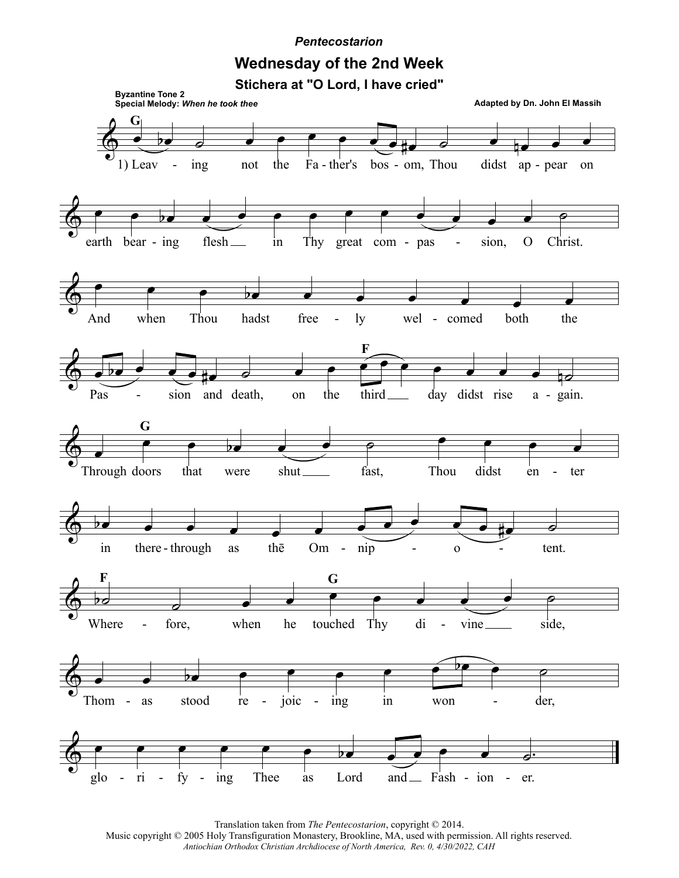## **Pentecostarion**

## **Wednesday of the 2nd Week**

Stichera at "O Lord, I have cried"



Translation taken from The Pentecostarion, copyright © 2014. Music copyright © 2005 Holy Transfiguration Monastery, Brookline, MA, used with permission. All rights reserved. Antiochian Orthodox Christian Archdiocese of North America, Rev. 0, 4/30/2022, CAH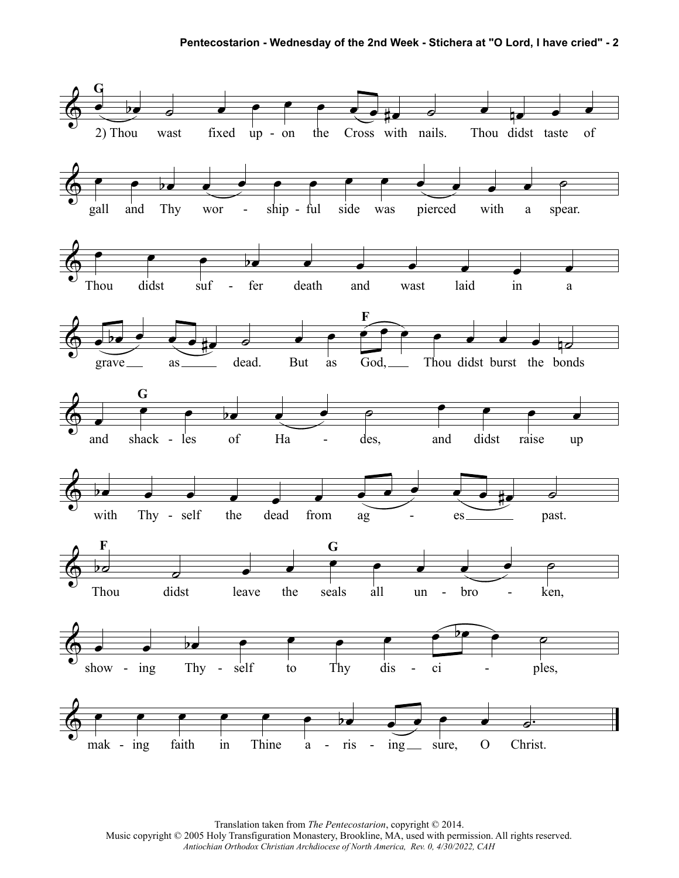

Translation taken from *The Pentecostarion*, copyright © 2014. Music copyright © 2005 Holy Transfiguration Monastery, Brookline, MA, used with permission. All rights reserved. *Antiochian Orthodox Christian Archdiocese of North America, Rev. 0, 4/30/2022, CAH*